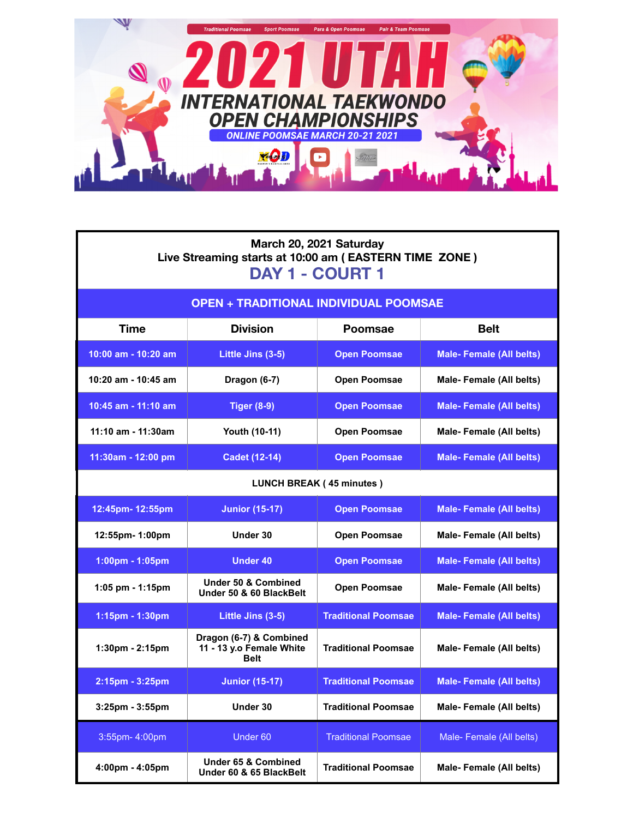

Г

| March 20, 2021 Saturday<br>Live Streaming starts at 10:00 am (EASTERN TIME ZONE)<br>DAY 1 - COURT 1 |                                                             |                            |                                |  |  |  |
|-----------------------------------------------------------------------------------------------------|-------------------------------------------------------------|----------------------------|--------------------------------|--|--|--|
| <b>OPEN + TRADITIONAL INDIVIDUAL POOMSAE</b>                                                        |                                                             |                            |                                |  |  |  |
| Time                                                                                                | <b>Division</b>                                             | <b>Poomsae</b>             | <b>Belt</b>                    |  |  |  |
| 10:00 am - 10:20 am                                                                                 | Little Jins (3-5)                                           | <b>Open Poomsae</b>        | <b>Male-Female (All belts)</b> |  |  |  |
| $10:20$ am - $10:45$ am                                                                             | Dragon (6-7)                                                | <b>Open Poomsae</b>        | Male-Female (All belts)        |  |  |  |
| 10:45 am - 11:10 am                                                                                 | <b>Tiger (8-9)</b>                                          | <b>Open Poomsae</b>        | <b>Male-Female (All belts)</b> |  |  |  |
| 11:10 am - 11:30am                                                                                  | Youth (10-11)                                               | <b>Open Poomsae</b>        | Male-Female (All belts)        |  |  |  |
| $11:30am - 12:00 pm$                                                                                | <b>Cadet (12-14)</b>                                        | <b>Open Poomsae</b>        | <b>Male-Female (All belts)</b> |  |  |  |
| <b>LUNCH BREAK (45 minutes)</b>                                                                     |                                                             |                            |                                |  |  |  |
| 12:45pm- 12:55pm                                                                                    | <b>Junior (15-17)</b>                                       | <b>Open Poomsae</b>        | <b>Male-Female (All belts)</b> |  |  |  |
| 12:55pm- 1:00pm                                                                                     | Under 30                                                    | <b>Open Poomsae</b>        | Male-Female (All belts)        |  |  |  |
| 1:00pm - 1:05pm                                                                                     | <b>Under 40</b>                                             | <b>Open Poomsae</b>        | <b>Male-Female (All belts)</b> |  |  |  |
| 1:05 pm - 1:15pm                                                                                    | Under 50 & Combined<br>Under 50 & 60 BlackBelt              | <b>Open Poomsae</b>        | Male-Female (All belts)        |  |  |  |
| 1:15pm - 1:30pm                                                                                     | Little Jins (3-5)                                           | <b>Traditional Poomsae</b> | <b>Male-Female (All belts)</b> |  |  |  |
| 1:30pm - 2:15pm                                                                                     | Dragon (6-7) & Combined<br>11 - 13 y.o Female White<br>Belt | <b>Traditional Poomsae</b> | Male-Female (All belts)        |  |  |  |
| 2:15pm - 3:25pm                                                                                     | <b>Junior (15-17)</b>                                       | <b>Traditional Poomsae</b> | <b>Male-Female (All belts)</b> |  |  |  |
| $3:25$ pm - $3:55$ pm                                                                               | Under 30                                                    | <b>Traditional Poomsae</b> | Male-Female (All belts)        |  |  |  |
| 3:55pm-4:00pm                                                                                       | Under <sub>60</sub>                                         | <b>Traditional Poomsae</b> | Male-Female (All belts)        |  |  |  |
| 4:00pm - 4:05pm                                                                                     | <b>Under 65 &amp; Combined</b><br>Under 60 & 65 BlackBelt   | <b>Traditional Poomsae</b> | Male-Female (All belts)        |  |  |  |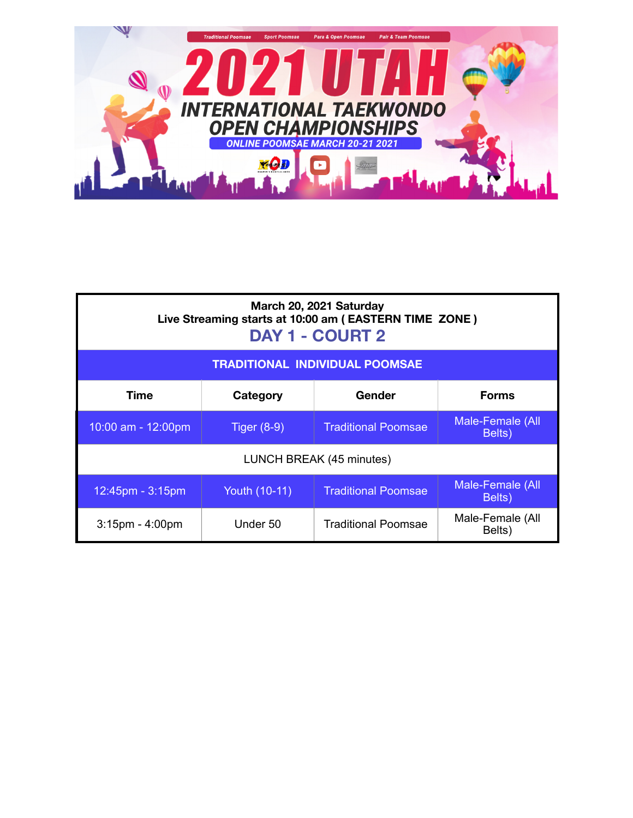

| March 20, 2021 Saturday<br>Live Streaming starts at 10:00 am (EASTERN TIME ZONE)<br><b>DAY 1 - COURT 2</b> |               |                            |                            |  |  |  |
|------------------------------------------------------------------------------------------------------------|---------------|----------------------------|----------------------------|--|--|--|
| <b>TRADITIONAL INDIVIDUAL POOMSAE</b>                                                                      |               |                            |                            |  |  |  |
| <b>Time</b>                                                                                                | Category      | Gender                     | <b>Forms</b>               |  |  |  |
| 10:00 am - 12:00pm                                                                                         | Tiger $(8-9)$ | <b>Traditional Poomsae</b> | Male-Female (All<br>Belts) |  |  |  |
| LUNCH BREAK (45 minutes)                                                                                   |               |                            |                            |  |  |  |
| 12:45pm - 3:15pm                                                                                           | Youth (10-11) | <b>Traditional Poomsae</b> | Male-Female (All<br>Belts) |  |  |  |
| $3:15$ pm - $4:00$ pm                                                                                      | Under 50      | <b>Traditional Poomsae</b> | Male-Female (All<br>Belts) |  |  |  |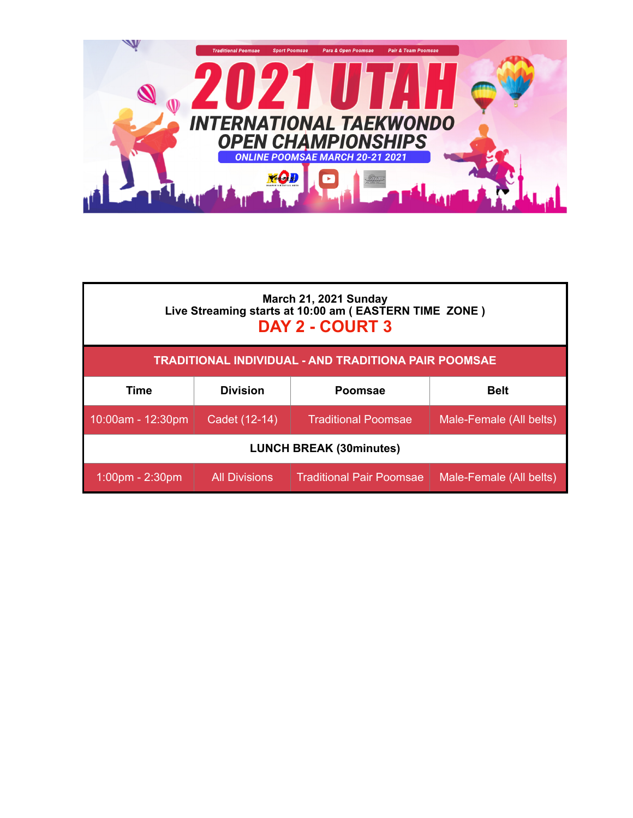

| March 21, 2021 Sunday<br>Live Streaming starts at 10:00 am (EASTERN TIME ZONE)<br>DAY 2 - COURT 3 |                      |                                 |                         |  |  |
|---------------------------------------------------------------------------------------------------|----------------------|---------------------------------|-------------------------|--|--|
| TRADITIONAL INDIVIDUAL - AND TRADITIONA PAIR POOMSAE                                              |                      |                                 |                         |  |  |
| Time                                                                                              | <b>Division</b>      | <b>Poomsae</b>                  | <b>Belt</b>             |  |  |
| 10:00am - 12:30pm                                                                                 | Cadet (12-14)        | <b>Traditional Poomsae</b>      | Male-Female (All belts) |  |  |
| <b>LUNCH BREAK (30minutes)</b>                                                                    |                      |                                 |                         |  |  |
| $1:00$ pm - 2:30pm                                                                                | <b>All Divisions</b> | <b>Traditional Pair Poomsae</b> | Male-Female (All belts) |  |  |